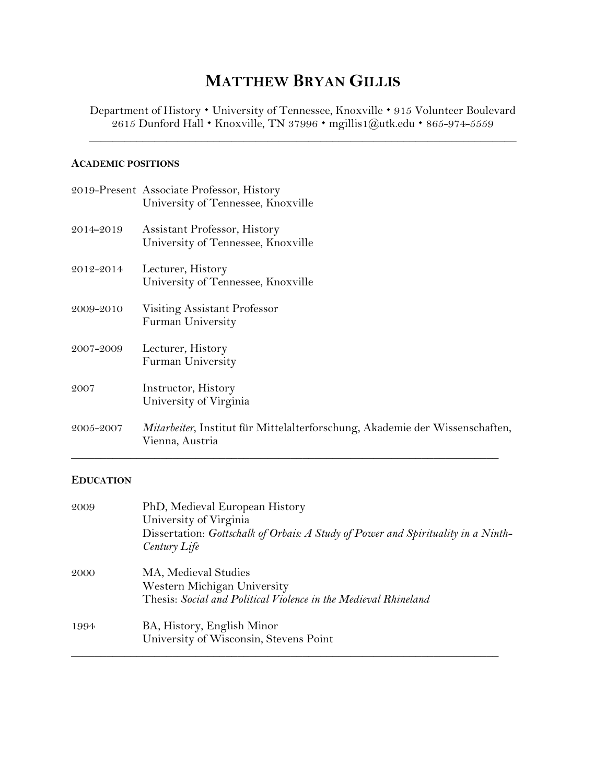# **MATTHEW BRYAN GILLIS**

Department of History • University of Tennessee, Knoxville • 915 Volunteer Boulevard 2615 Dunford Hall • Knoxville, TN 37996 • mgillis1@utk.edu • 865-974-5559

 $\_$  , and the set of the set of the set of the set of the set of the set of the set of the set of the set of the set of the set of the set of the set of the set of the set of the set of the set of the set of the set of th

## **ACADEMIC POSITIONS**

|           | 2019-Present Associate Professor, History<br>University of Tennessee, Knoxville                         |
|-----------|---------------------------------------------------------------------------------------------------------|
| 2014-2019 | Assistant Professor, History<br>University of Tennessee, Knoxville                                      |
| 2012-2014 | Lecturer, History<br>University of Tennessee, Knoxville                                                 |
| 2009-2010 | Visiting Assistant Professor<br>Furman University                                                       |
| 2007-2009 | Lecturer, History<br>Furman University                                                                  |
| 2007      | Instructor, History<br>University of Virginia                                                           |
| 2005-2007 | <i>Mitarbeiter</i> , Institut für Mittelalterforschung, Akademie der Wissenschaften,<br>Vienna, Austria |

# **EDUCATION**

| 2009 | PhD, Medieval European History<br>University of Virginia<br>Dissertation: Gottschalk of Orbais: A Study of Power and Spirituality in a Ninth-<br>Century Life |
|------|---------------------------------------------------------------------------------------------------------------------------------------------------------------|
| 2000 | MA, Medieval Studies<br>Western Michigan University<br>Thesis: Social and Political Violence in the Medieval Rhineland                                        |
| 1994 | BA, History, English Minor<br>University of Wisconsin, Stevens Point                                                                                          |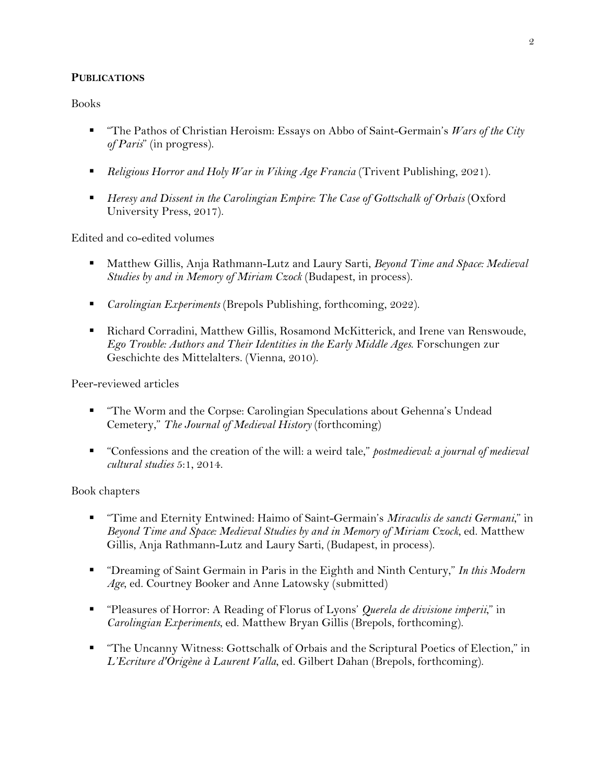## **PUBLICATIONS**

Books

- "The Pathos of Christian Heroism: Essays on Abbo of Saint-Germain's *Wars of the City of Paris*" (in progress).
- *Religious Horror and Holy War in Viking Age Francia* (Trivent Publishing, 2021).
- *Heresy and Dissent in the Carolingian Empire: The Case of Gottschalk of Orbais* (Oxford University Press, 2017).

Edited and co-edited volumes

- Matthew Gillis, Anja Rathmann-Lutz and Laury Sarti, *Beyond Time and Space: Medieval Studies by and in Memory of Miriam Czock* (Budapest, in process).
- § *Carolingian Experiments* (Brepols Publishing, forthcoming, 2022).
- Richard Corradini, Matthew Gillis, Rosamond McKitterick, and Irene van Renswoude, *Ego Trouble: Authors and Their Identities in the Early Middle Ages*. Forschungen zur Geschichte des Mittelalters. (Vienna, 2010).

Peer-reviewed articles

- § "The Worm and the Corpse: Carolingian Speculations about Gehenna's Undead Cemetery," *The Journal of Medieval History* (forthcoming)
- "Confessions and the creation of the will: a weird tale," *postmedieval: a journal of medieval cultural studies* 5:1, 2014.

Book chapters

- "Time and Eternity Entwined: Haimo of Saint-Germain's *Miraculis de sancti Germani*," in *Beyond Time and Space: Medieval Studies by and in Memory of Miriam Czock*, ed. Matthew Gillis, Anja Rathmann-Lutz and Laury Sarti, (Budapest, in process).
- "Dreaming of Saint Germain in Paris in the Eighth and Ninth Century," *In this Modern Age*, ed. Courtney Booker and Anne Latowsky (submitted)
- "Pleasures of Horror: A Reading of Florus of Lyons' *Querela de divisione imperii*," in *Carolingian Experiments*, ed. Matthew Bryan Gillis (Brepols, forthcoming).
- "The Uncanny Witness: Gottschalk of Orbais and the Scriptural Poetics of Election," in *L'Ecriture d'Origène à Laurent Valla*, ed. Gilbert Dahan (Brepols, forthcoming).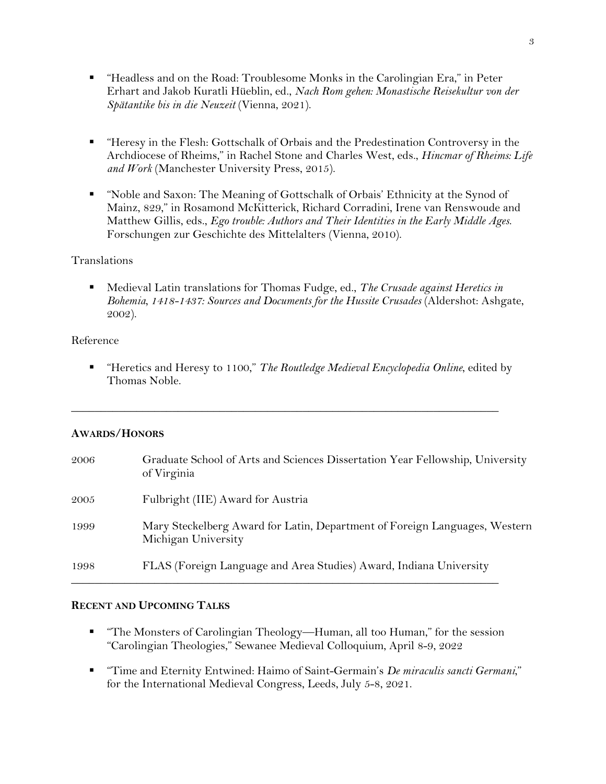- § "Headless and on the Road: Troublesome Monks in the Carolingian Era," in Peter Erhart and Jakob Kuratli Hüeblin, ed., *Nach Rom gehen: Monastische Reisekultur von der Spätantike bis in die Neuzeit* (Vienna, 2021).
- § "Heresy in the Flesh: Gottschalk of Orbais and the Predestination Controversy in the Archdiocese of Rheims," in Rachel Stone and Charles West, eds., *Hincmar of Rheims: Life and Work* (Manchester University Press, 2015).
- § "Noble and Saxon: The Meaning of Gottschalk of Orbais' Ethnicity at the Synod of Mainz, 829," in Rosamond McKitterick, Richard Corradini, Irene van Renswoude and Matthew Gillis, eds., *Ego trouble: Authors and Their Identities in the Early Middle Ages*. Forschungen zur Geschichte des Mittelalters (Vienna, 2010).

## Translations

■ Medieval Latin translations for Thomas Fudge, ed., *The Crusade against Heretics in Bohemia, 1418-1437: Sources and Documents for the Hussite Crusades* (Aldershot: Ashgate, 2002).

## Reference

§ "Heretics and Heresy to 1100," *The Routledge Medieval Encyclopedia Online*, edited by Thomas Noble.

 $\_$  , and the set of the set of the set of the set of the set of the set of the set of the set of the set of the set of the set of the set of the set of the set of the set of the set of the set of the set of the set of th

#### **AWARDS/HONORS**

| 2006 | Graduate School of Arts and Sciences Dissertation Year Fellowship, University<br>of Virginia      |
|------|---------------------------------------------------------------------------------------------------|
| 2005 | Fulbright (IIE) Award for Austria                                                                 |
| 1999 | Mary Steckelberg Award for Latin, Department of Foreign Languages, Western<br>Michigan University |
| 1998 | FLAS (Foreign Language and Area Studies) Award, Indiana University                                |

# **RECENT AND UPCOMING TALKS**

- "The Monsters of Carolingian Theology—Human, all too Human," for the session "Carolingian Theologies," Sewanee Medieval Colloquium, April 8-9, 2022
- § "Time and Eternity Entwined: Haimo of Saint-Germain's *De miraculis sancti Germani*," for the International Medieval Congress, Leeds, July 5-8, 2021.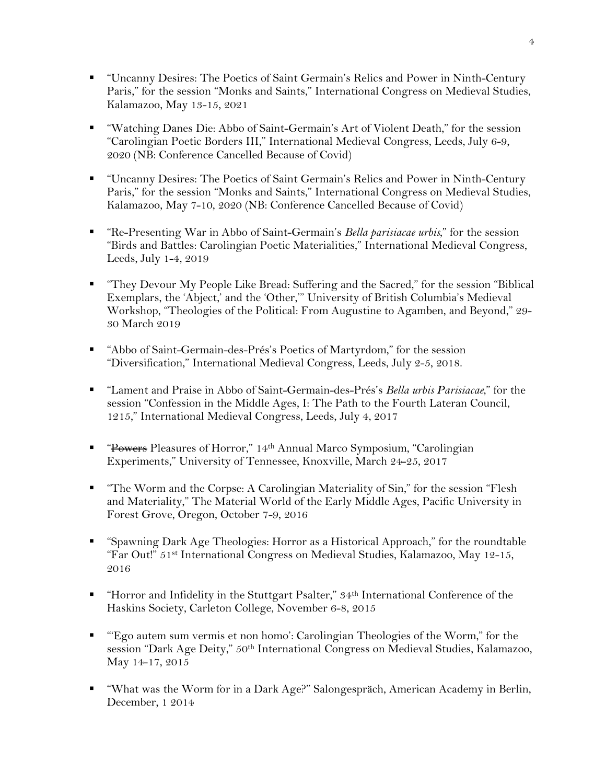- § "Uncanny Desires: The Poetics of Saint Germain's Relics and Power in Ninth-Century Paris," for the session "Monks and Saints," International Congress on Medieval Studies, Kalamazoo, May 13-15, 2021
- "Watching Danes Die: Abbo of Saint-Germain's Art of Violent Death," for the session "Carolingian Poetic Borders III," International Medieval Congress, Leeds, July 6-9, 2020 (NB: Conference Cancelled Because of Covid)
- "Uncanny Desires: The Poetics of Saint Germain's Relics and Power in Ninth-Century Paris," for the session "Monks and Saints," International Congress on Medieval Studies, Kalamazoo, May 7-10, 2020 (NB: Conference Cancelled Because of Covid)
- "Re-Presenting War in Abbo of Saint-Germain's *Bella parisiacae urbis*," for the session "Birds and Battles: Carolingian Poetic Materialities," International Medieval Congress, Leeds, July 1-4, 2019
- § "They Devour My People Like Bread: Suffering and the Sacred," for the session "Biblical Exemplars, the 'Abject,' and the 'Other,'" University of British Columbia's Medieval Workshop, "Theologies of the Political: From Augustine to Agamben, and Beyond," 29- 30 March 2019
- "Abbo of Saint-Germain-des-Prés's Poetics of Martyrdom," for the session "Diversification," International Medieval Congress, Leeds, July 2-5, 2018.
- § "Lament and Praise in Abbo of Saint-Germain-des-Prés's *Bella urbis Parisiacae*," for the session "Confession in the Middle Ages, I: The Path to the Fourth Lateran Council, 1215," International Medieval Congress, Leeds, July 4, 2017
- "Powers Pleasures of Horror," 14<sup>th</sup> Annual Marco Symposium, "Carolingian Experiments," University of Tennessee, Knoxville, March 24-25, 2017
- § "The Worm and the Corpse: A Carolingian Materiality of Sin," for the session "Flesh and Materiality," The Material World of the Early Middle Ages, Pacific University in Forest Grove, Oregon, October 7-9, 2016
- § "Spawning Dark Age Theologies: Horror as a Historical Approach," for the roundtable "Far Out!" 51st International Congress on Medieval Studies, Kalamazoo, May 12-15, 2016
- "Horror and Infidelity in the Stuttgart Psalter," 34<sup>th</sup> International Conference of the Haskins Society, Carleton College, November 6-8, 2015
- § "'Ego autem sum vermis et non homo': Carolingian Theologies of the Worm," for the session "Dark Age Deity," 50th International Congress on Medieval Studies, Kalamazoo, May 14-17, 2015
- § "What was the Worm for in a Dark Age?" Salongespräch, American Academy in Berlin, December, 1 2014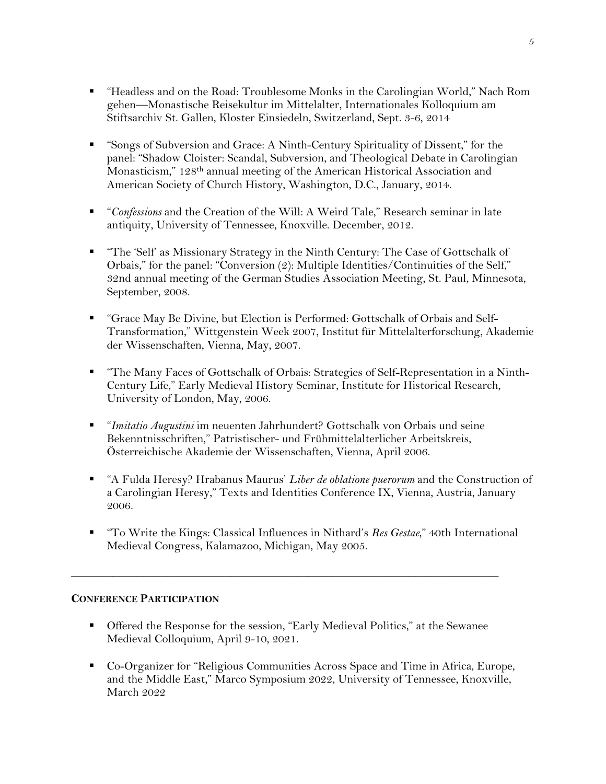- § "Headless and on the Road: Troublesome Monks in the Carolingian World," Nach Rom gehen—Monastische Reisekultur im Mittelalter, Internationales Kolloquium am Stiftsarchiv St. Gallen, Kloster Einsiedeln, Switzerland, Sept. 3-6, 2014
- "Songs of Subversion and Grace: A Ninth-Century Spirituality of Dissent," for the panel: "Shadow Cloister: Scandal, Subversion, and Theological Debate in Carolingian Monasticism," 128th annual meeting of the American Historical Association and American Society of Church History, Washington, D.C., January, 2014.
- *"Confessions* and the Creation of the Will: A Weird Tale," Research seminar in late antiquity, University of Tennessee, Knoxville. December, 2012.
- "The 'Self' as Missionary Strategy in the Ninth Century: The Case of Gottschalk of Orbais," for the panel: "Conversion (2): Multiple Identities/Continuities of the Self," 32nd annual meeting of the German Studies Association Meeting, St. Paul, Minnesota, September, 2008.
- § "Grace May Be Divine, but Election is Performed: Gottschalk of Orbais and Self-Transformation," Wittgenstein Week 2007, Institut für Mittelalterforschung, Akademie der Wissenschaften, Vienna, May, 2007.
- "The Many Faces of Gottschalk of Orbais: Strategies of Self-Representation in a Ninth-Century Life," Early Medieval History Seminar, Institute for Historical Research, University of London, May, 2006.
- § "*Imitatio Augustini* im neuenten Jahrhundert? Gottschalk von Orbais und seine Bekenntnisschriften," Patristischer- und Frühmittelalterlicher Arbeitskreis, Österreichische Akademie der Wissenschaften, Vienna, April 2006.
- § "A Fulda Heresy? Hrabanus Maurus' *Liber de oblatione puerorum* and the Construction of a Carolingian Heresy," Texts and Identities Conference IX, Vienna, Austria, January 2006.
- § "To Write the Kings: Classical Influences in Nithard's *Res Gestae*," 40th International Medieval Congress, Kalamazoo, Michigan, May 2005.

# **CONFERENCE PARTICIPATION**

■ Offered the Response for the session, "Early Medieval Politics," at the Sewanee Medieval Colloquium, April 9-10, 2021.

 $\_$  , and the set of the set of the set of the set of the set of the set of the set of the set of the set of the set of the set of the set of the set of the set of the set of the set of the set of the set of the set of th

§ Co-Organizer for "Religious Communities Across Space and Time in Africa, Europe, and the Middle East," Marco Symposium 2022, University of Tennessee, Knoxville, March 2022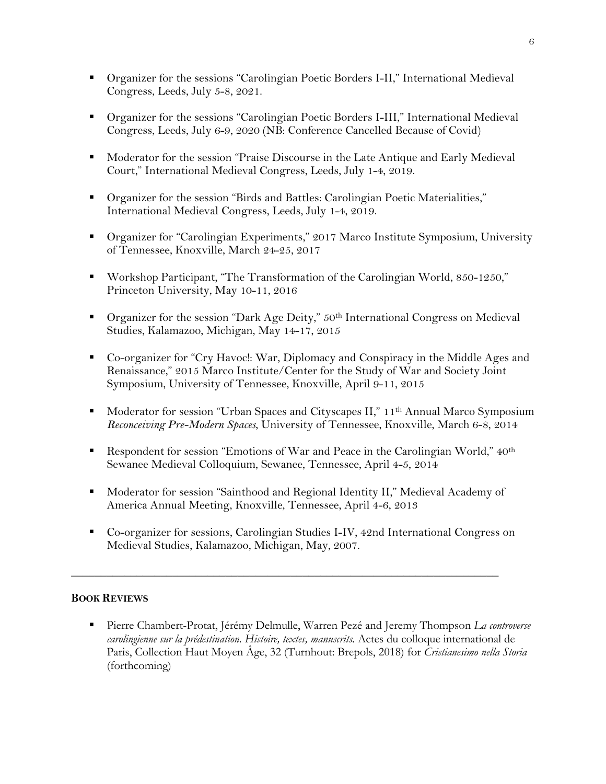- Organizer for the sessions "Carolingian Poetic Borders I-II," International Medieval Congress, Leeds, July 5-8, 2021.
- § Organizer for the sessions "Carolingian Poetic Borders I-III," International Medieval Congress, Leeds, July 6-9, 2020 (NB: Conference Cancelled Because of Covid)
- Moderator for the session "Praise Discourse in the Late Antique and Early Medieval Court," International Medieval Congress, Leeds, July 1-4, 2019.
- § Organizer for the session "Birds and Battles: Carolingian Poetic Materialities," International Medieval Congress, Leeds, July 1-4, 2019.
- Organizer for "Carolingian Experiments," 2017 Marco Institute Symposium, University of Tennessee, Knoxville, March 24-25, 2017
- Workshop Participant, "The Transformation of the Carolingian World, 850-1250," Princeton University, May 10-11, 2016
- Organizer for the session "Dark Age Deity," 50<sup>th</sup> International Congress on Medieval Studies, Kalamazoo, Michigan, May 14-17, 2015
- Co-organizer for "Cry Havoc!: War, Diplomacy and Conspiracy in the Middle Ages and Renaissance," 2015 Marco Institute/Center for the Study of War and Society Joint Symposium, University of Tennessee, Knoxville, April 9-11, 2015
- Moderator for session "Urban Spaces and Cityscapes II," 11<sup>th</sup> Annual Marco Symposium *Reconceiving Pre-Modern Spaces*, University of Tennessee, Knoxville, March 6-8, 2014
- Respondent for session "Emotions of War and Peace in the Carolingian World," 40<sup>th</sup> Sewanee Medieval Colloquium, Sewanee, Tennessee, April 4-5, 2014
- § Moderator for session "Sainthood and Regional Identity II," Medieval Academy of America Annual Meeting, Knoxville, Tennessee, April 4-6, 2013
- Co-organizer for sessions, Carolingian Studies I-IV, 42nd International Congress on Medieval Studies, Kalamazoo, Michigan, May, 2007.

 $\_$  , and the set of the set of the set of the set of the set of the set of the set of the set of the set of the set of the set of the set of the set of the set of the set of the set of the set of the set of the set of th

# **BOOK REVIEWS**

§ Pierre Chambert-Protat, Jérémy Delmulle, Warren Pezé and Jeremy Thompson *La controverse carolingienne sur la prédestination. Histoire, textes, manuscrits.* Actes du colloque international de Paris, Collection Haut Moyen Âge, 32 (Turnhout: Brepols, 2018) for *Cristianesimo nella Storia* (forthcoming)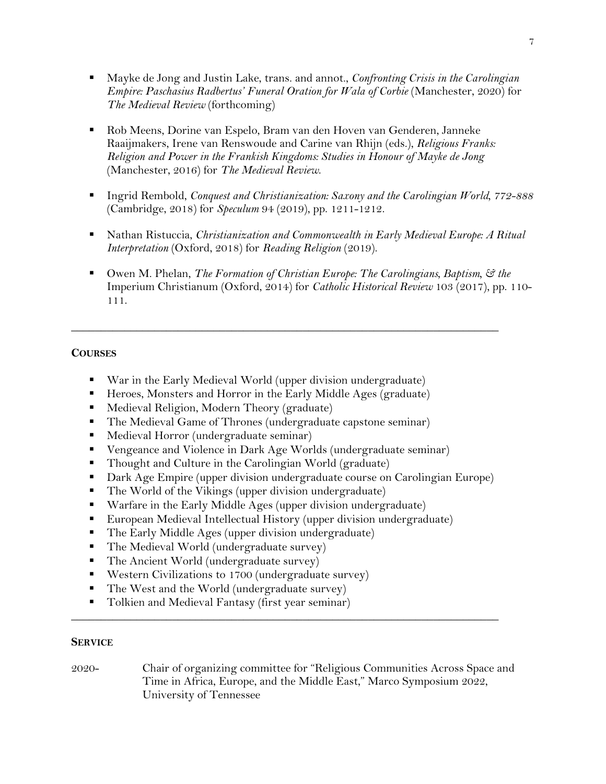- Mayke de Jong and Justin Lake, trans. and annot., *Confronting Crisis in the Carolingian Empire: Paschasius Radbertus' Funeral Oration for Wala of Corbie* (Manchester, 2020) for *The Medieval Review* (forthcoming)
- § Rob Meens, Dorine van Espelo, Bram van den Hoven van Genderen, Janneke Raaijmakers, Irene van Renswoude and Carine van Rhijn (eds.), *Religious Franks: Religion and Power in the Frankish Kingdoms: Studies in Honour of Mayke de Jong* (Manchester, 2016) for *The Medieval Review*.
- § Ingrid Rembold, *Conquest and Christianization: Saxony and the Carolingian World, 772-888* (Cambridge, 2018) for *Speculum* 94 (2019), pp. 1211-1212.
- Nathan Ristuccia, *Christianization and Commonwealth in Early Medieval Europe: A Ritual Interpretation* (Oxford, 2018) for *Reading Religion* (2019).
- Owen M. Phelan, *The Formation of Christian Europe: The Carolingians, Baptism,*  $\mathcal{F}$  the Imperium Christianum (Oxford, 2014) for *Catholic Historical Review* 103 (2017), pp. 110- 111.

 $\_$  , and the set of the set of the set of the set of the set of the set of the set of the set of the set of the set of the set of the set of the set of the set of the set of the set of the set of the set of the set of th

## **COURSES**

- War in the Early Medieval World (upper division undergraduate)
- Heroes, Monsters and Horror in the Early Middle Ages (graduate)
- Medieval Religion, Modern Theory (graduate)
- The Medieval Game of Thrones (undergraduate capstone seminar)
- Medieval Horror (undergraduate seminar)
- Vengeance and Violence in Dark Age Worlds (undergraduate seminar)
- Thought and Culture in the Carolingian World (graduate)
- Dark Age Empire (upper division undergraduate course on Carolingian Europe)
- The World of the Vikings (upper division undergraduate)
- Warfare in the Early Middle Ages (upper division undergraduate)
- European Medieval Intellectual History (upper division undergraduate)
- The Early Middle Ages (upper division undergraduate)
- The Medieval World (undergraduate survey)
- The Ancient World (undergraduate survey)
- Western Civilizations to 1700 (undergraduate survey)
- The West and the World (undergraduate survey)
- Tolkien and Medieval Fantasy (first year seminar)

#### **SERVICE**

2020- Chair of organizing committee for "Religious Communities Across Space and Time in Africa, Europe, and the Middle East," Marco Symposium 2022, University of Tennessee

 $\_$  , and the set of the set of the set of the set of the set of the set of the set of the set of the set of the set of the set of the set of the set of the set of the set of the set of the set of the set of the set of th